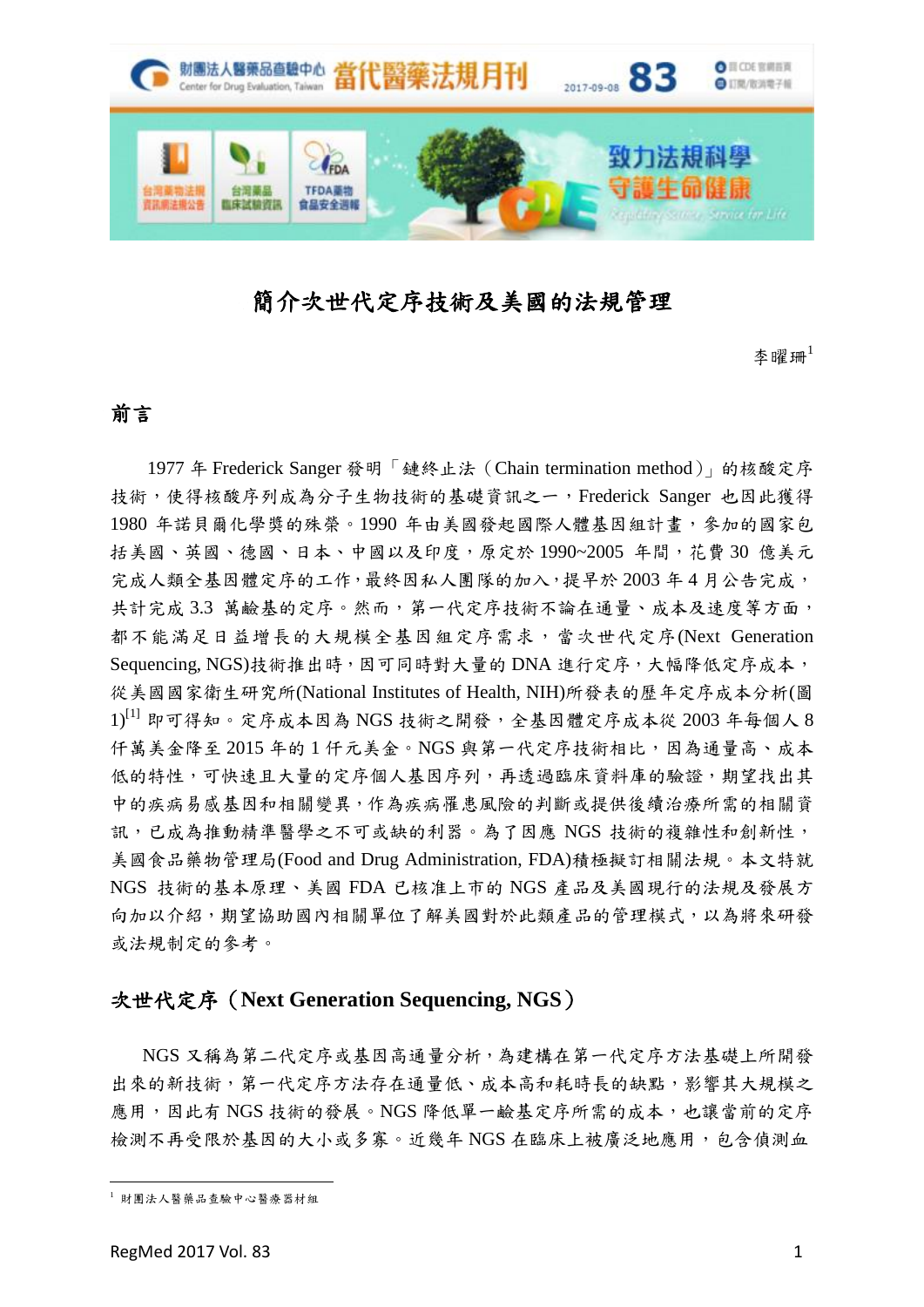

# 簡介次世代定序技術及美國的法規管理

李曜珊 $1$ 

# 前言

1977 年 Frederick Sanger 發明「鏈終止法(Chain termination method)」的核酸定序 技術,使得核酸序列成為分子生物技術的基礎資訊之一,Frederick Sanger 也因此獲得 1980 年諾貝爾化學獎的殊榮。1990 年由美國發起國際人體基因組計畫,參加的國家包 括美國、英國、德國、日本、中國以及印度,原定於 1990~2005 年間,花費 30 億美元 完成人類全基因體定序的工作,最終因私人團隊的加入,提早於 2003年4月公告完成, 共計完成 3.3 萬鹼基的定序。然而,第一代定序技術不論在通量、成本及速度等方面, 都不能滿足日益增長的大規模全基因組定序需求,當次世代定序(Next Generation Sequencing, NGS)技術推出時,因可同時對大量的 DNA 進行定序,大幅降低定序成本, 從美國國家衛生研究所(National Institutes of Health, NIH)所發表的歷年定序成本分析(圖  $1)^{[1]}$  即可得知。定序成本因為 NGS 技術之開發,全基因體定序成本從 2003 年每個人 8 仟萬美金降至 2015 年的 1 仟元美金。NGS 與第一代定序技術相比,因為通量高、成本 低的特性,可快速且大量的定序個人基因序列,再透過臨床資料庫的驗證,期望找出其 中的疾病易感基因和相關變異,作為疾病罹患風險的判斷或提供後續治療所需的相關資 訊,已成為推動精準醫學之不可或缺的利器。為了因應 NGS 技術的複雜性和創新性, 美國食品藥物管理局(Food and Drug Administration, FDA)積極擬訂相關法規。本文特就 NGS 技術的基本原理、美國 FDA 已核准上市的 NGS 產品及美國現行的法規及發展方 向加以介紹,期望協助國內相關單位了解美國對於此類產品的管理模式,以為將來研發 或法規制定的參考。

## 次世代定序(**Next Generation Sequencing, NGS**)

NGS 又稱為第二代定序或基因高通量分析,為建構在第一代定序方法基礎上所開發 出來的新技術,第一代定序方法存在通量低、成本高和耗時長的缺點,影響其大規模之 應用,因此有 NGS 技術的發展。NGS 降低單一鹼基定序所需的成本,也讓當前的定序 檢測不再受限於基因的大小或多寡。近幾年 NGS 在臨床上被廣泛地應用,包含偵測血

 $\overline{a}$ <sup>1</sup> 財團法人醫藥品查驗中心醫療器材組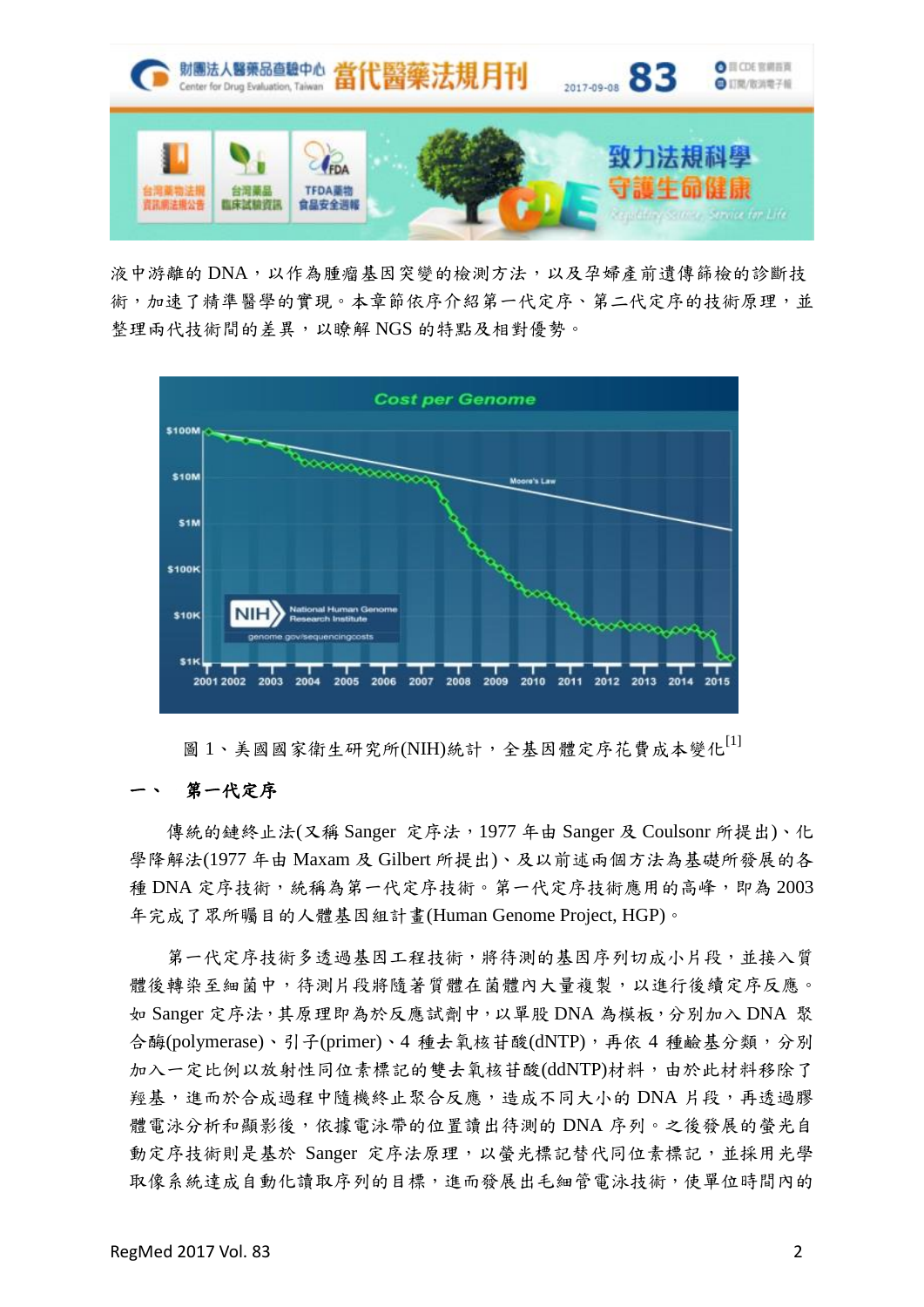

液中游離的 DNA,以作為腫瘤基因突變的檢測方法,以及孕婦產前遺傳篩檢的診斷技 術,加速了精準醫學的實現。本章節依序介紹第一代定序、第二代定序的技術原理,並 整理兩代技術間的差異,以瞭解 NGS 的特點及相對優勢。



圖 1、美國國家衛生研究所(NIH)統計,全基因體定序花費成本變化<sup>[1]</sup>

## 一、 第一代定序

傳統的鏈終止法(又稱 Sanger 定序法,1977 年由 Sanger 及 Coulsonr 所提出)、化 學降解法(1977 年由 Maxam 及 Gilbert 所提出)、及以前述兩個方法為基礎所發展的各 種 DNA 定序技術, 統稱為第一代定序技術。第一代定序技術應用的高峰, 即為 2003 年完成了眾所矚目的人體基因組計畫(Human Genome Project, HGP)。

第一代定序技術多透過基因工程技術,將待測的基因序列切成小片段,並接入質 體後轉染至細菌中,待測片段將隨著質體在菌體內大量複製,以進行後續定序反應。 如 Sanger 定序法,其原理即為於反應試劑中,以單股 DNA 為模板,分別加入 DNA 聚 合酶(polymerase)、引子(primer)、4 種去氧核苷酸(dNTP),再依 4 種鹼基分類,分別 加入一定比例以放射性同位素標記的雙去氧核苷酸(ddNTP)材料,由於此材料移除了 羥基,進而於合成過程中隨機終止聚合反應,造成不同大小的 DNA 片段,再透過膠 體電泳分析和顯影後,依據電泳帶的位置讀出待測的 DNA 序列。之後發展的螢光自 動定序技術則是基於 Sanger 定序法原理,以螢光標記替代同位素標記,並採用光學 取像系統達成自動化讀取序列的目標,進而發展出毛細管電泳技術,使單位時間內的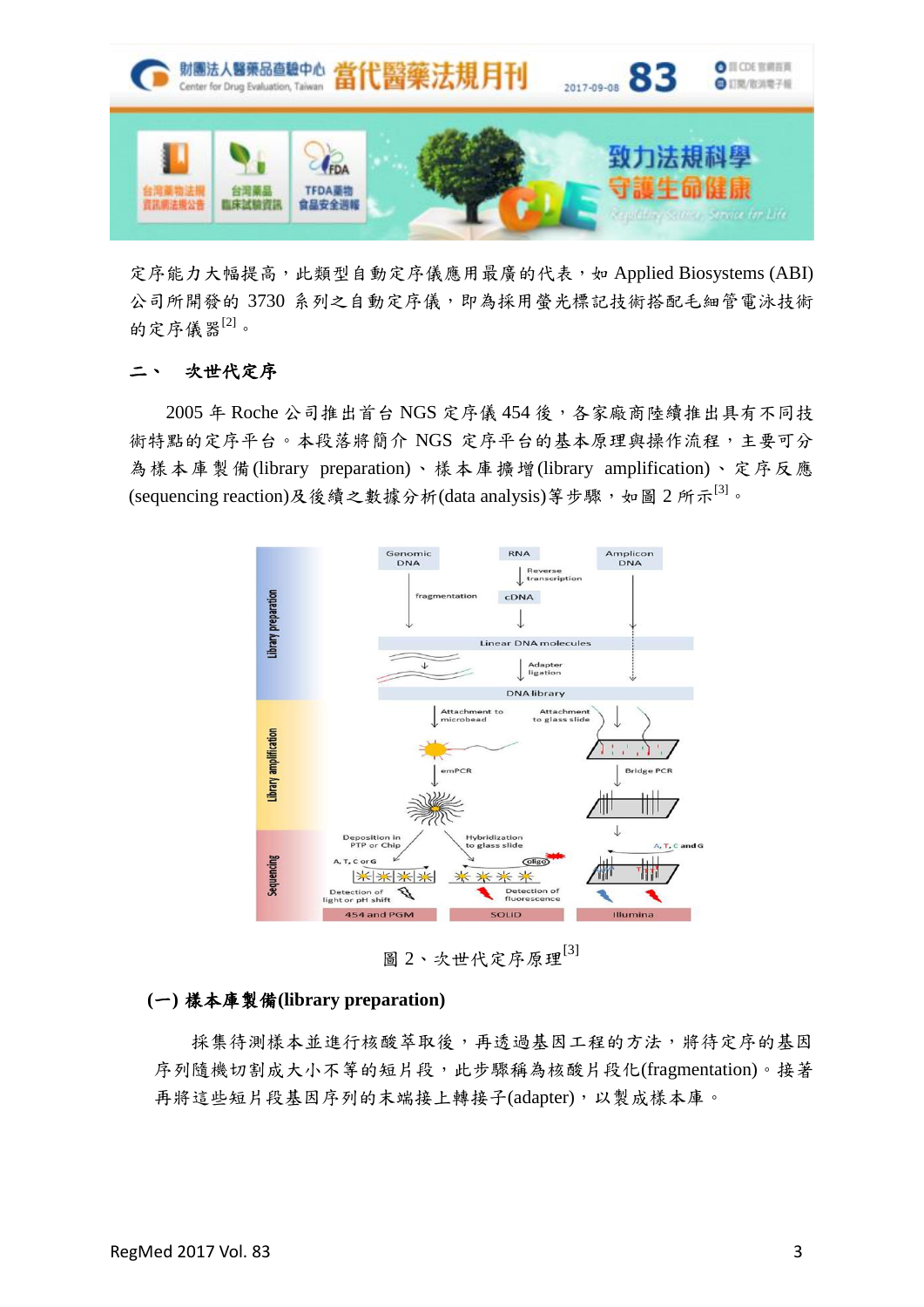

定序能力大幅提高,此類型自動定序儀應用最廣的代表,如 Applied Biosystems (ABI) 公司所開發的 3730 系列之自動定序儀,即為採用螢光標記技術搭配毛細管電泳技術 的定序儀器[2]。

### 二、 次世代定序

2005年 Roche 公司推出首台 NGS 定序儀 454 後,各家廠商陸續推出具有不同技 術特點的定序平台。本段落將簡介 NGS 定序平台的基本原理與操作流程,主要可分 為樣本庫製備(library preparation)、樣本庫擴增(library amplification)、定序反應 (sequencing reaction)及後續之數據分析(data analysis)等步驟,如圖 2 所示<sup>[3]</sup>。



圖 2、次世代定序原理[3]

## **(**一**)** 樣本庫製備**(library preparation)**

採集待測樣本並進行核酸萃取後,再透過基因工程的方法,將待定序的基因 序列隨機切割成大小不等的短片段,此步驟稱為核酸片段化(fragmentation)。接著 再將這些短片段基因序列的末端接上轉接子(adapter),以製成樣本庫。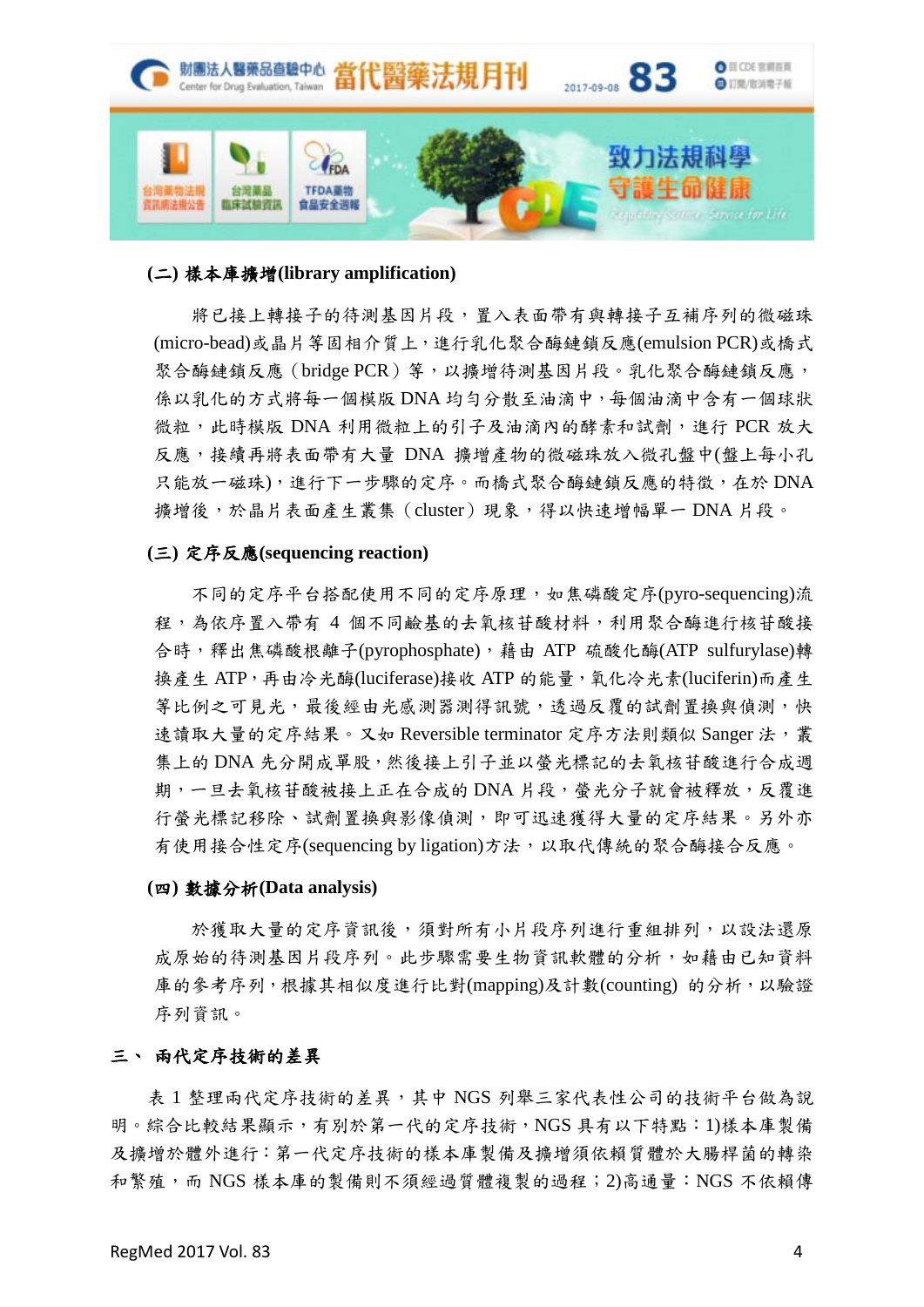

#### **(**二**)** 樣本庫擴增**(library amplification)**

將已接上轉接子的待測基因片段,置入表面帶有與轉接子互補序列的微磁珠 (micro-bead)或晶片等固相介質上,進行乳化聚合酶鏈鎖反應(emulsion PCR)或橋式 聚合酶鏈鎖反應(bridge PCR)等,以擴增待測基因片段。乳化聚合酶鏈鎖反應, 係以乳化的方式將每一個模版 DNA 均勻分散至油滴中,每個油滴中含有一個球狀 微粒,此時模版 DNA 利用微粒上的引子及油滴內的酵素和試劑,進行 PCR 放大 反應,接續再將表面帶有大量 DNA 擴增產物的微磁珠放入微孔盤中(盤上每小孔 只能放一磁珠),進行下一步驟的定序。而橋式聚合酶鏈鎖反應的特徵,在於 DNA 擴增後,於晶片表面產生叢集(cluster)現象,得以快速增幅單一 DNA 片段。

#### **(**三**)** 定序反應**(sequencing reaction)**

不同的定序平台搭配使用不同的定序原理,如焦磷酸定序(pyro-sequencing)流 程,為依序置入帶有 4 個不同鹼基的去氧核苷酸材料,利用聚合酶進行核苷酸接 合時,釋出焦磷酸根離子(pyrophosphate), 藉由 ATP 硫酸化酶(ATP sulfurylase)轉 換產生 ATP,再由冷光酶(luciferase)接收 ATP 的能量,氧化冷光素(luciferin)而產生 等比例之可見光,最後經由光感測器測得訊號,透過反覆的試劑置換與偵測,快 速讀取大量的定序結果。又如 Reversible terminator 定序方法則類似 Sanger 法,叢 集上的 DNA 先分開成單股,然後接上引子並以螢光標記的去氧核苷酸進行合成週 期,一旦去氧核苷酸被接上正在合成的 DNA 片段,螢光分子就會被釋放,反覆進 行螢光標記移除、試劑置換與影像偵測,即可迅速獲得大量的定序結果。另外亦 有使用接合性定序(sequencing by ligation)方法,以取代傳統的聚合酶接合反應。

#### **(**四**)** 數據分析**(Data analysis)**

於獲取大量的定序資訊後,須對所有小片段序列進行重組排列,以設法還原 成原始的待測基因片段序列。此步驟需要生物資訊軟體的分析,如藉由已知資料 庫的參考序列,根據其相似度進行比對(mapping)及計數(counting) 的分析, 以驗證 序列資訊。

#### 三、 兩代定序技術的差異

表 1 整理兩代定序技術的差異,其中 NGS 列舉三家代表性公司的技術平台做為說 明。綜合比較結果顯示,有別於第一代的定序技術,NGS具有以下特點:1)樣本庫製備 及擴增於體外進行:第一代定序技術的樣本庫製備及擴增須依賴質體於大腸桿菌的轉染 和繁殖,而 NGS 樣本庫的製備則不須經過質體複製的過程;2)高通量:NGS 不依賴傳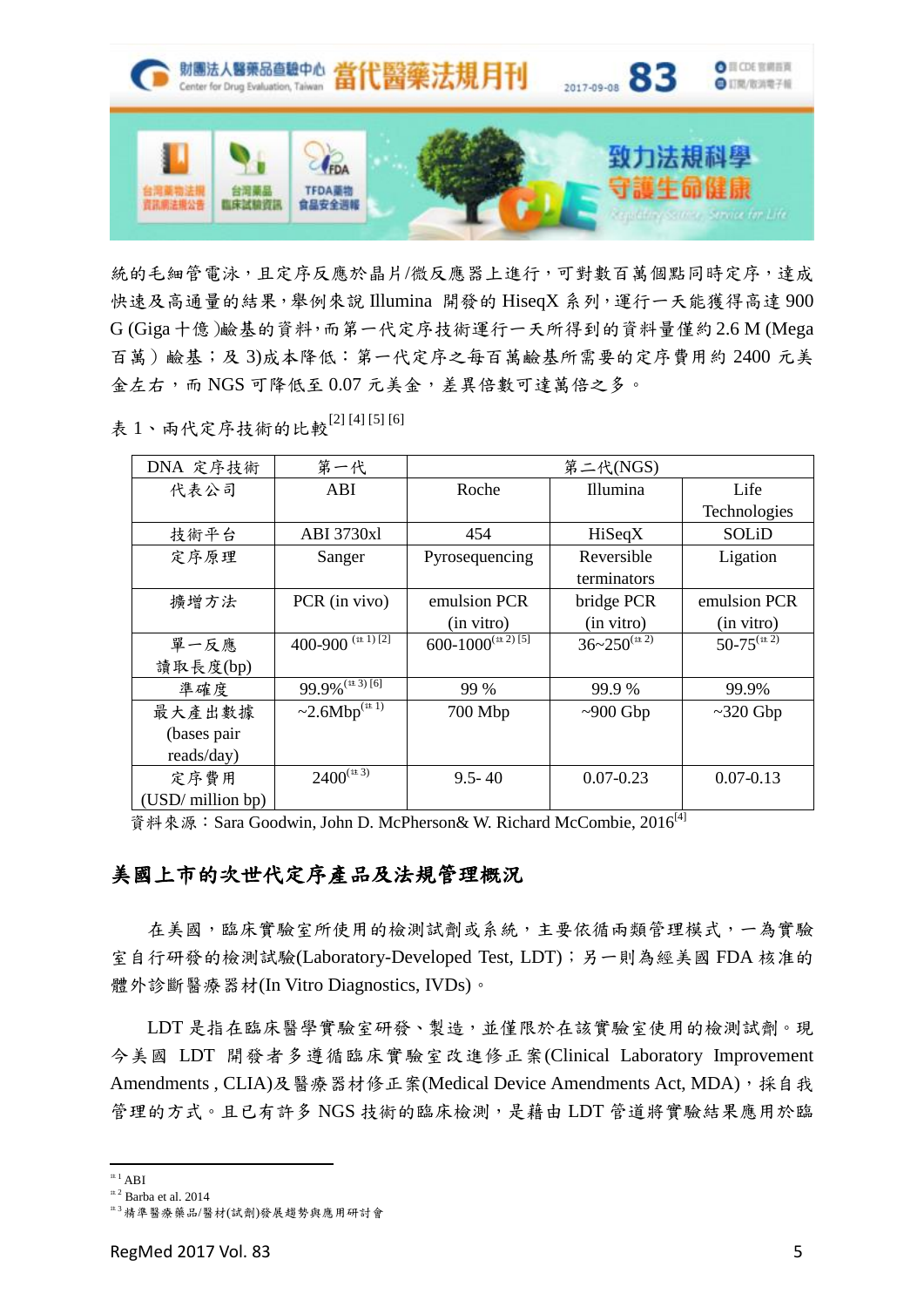

統的毛細管電泳,且定序反應於晶片/微反應器上進行,可對數百萬個點同時定序,達成 快速及高通量的結果,舉例來說 Illumina 開發的 HiseqX 系列,運行一天能獲得高達 900 G (Giga十億)鹼基的資料,而第一代定序技術運行一天所得到的資料量僅約2.6 M (Mega 百萬)鹼基;及 3)成本降低:第一代定序之每百萬鹼基所需要的定序費用約 2400 元美 金左右,而 NGS 可降低至 0.07 元美金,差異倍數可達萬倍之多。

| DNA 定序技術          | 第一代                                              |                                    |                            |                         |  |  |
|-------------------|--------------------------------------------------|------------------------------------|----------------------------|-------------------------|--|--|
| 代表公司              | ABI                                              | Roche                              | Illumina                   | Life                    |  |  |
|                   |                                                  |                                    |                            | Technologies            |  |  |
| 技術平台              | ABI 3730x1                                       | 454                                | HiseqX                     | SOLiD                   |  |  |
| 定序原理              | Sanger                                           | Pyrosequencing                     | Reversible                 | Ligation                |  |  |
|                   |                                                  |                                    | terminators                |                         |  |  |
| 擴增方法              | PCR (in vivo)                                    | emulsion PCR                       | bridge PCR                 | emulsion PCR            |  |  |
|                   |                                                  | (in vitro)                         | (in vitro)                 | (in vitro)              |  |  |
| 單一反應              | 400-900 <sup>(<math>\pm</math>1)[2]</sup>        | $600 - 1000$ <sup>(ii 2)</sup> [5] | $36 - 250$ <sup>(ii)</sup> | $50-75$ <sup>(ii)</sup> |  |  |
| 讀取長度(bp)          |                                                  |                                    |                            |                         |  |  |
| 準確度               | 99.9% (** 3) [6]                                 | 99 %                               | 99.9 %                     | 99.9%                   |  |  |
| 最大產出數據            | ~2.6Mb $\overline{p}^{\left(\frac{1}{2}\right)}$ | 700 Mbp                            | $\sim 900$ Gbp             | $\sim$ 320 Gbp          |  |  |
| (bases pair       |                                                  |                                    |                            |                         |  |  |
| reads/day)        |                                                  |                                    |                            |                         |  |  |
| 定序費用              | $2400^{(\text{m})}$                              | $9.5 - 40$                         | $0.07 - 0.23$              | $0.07 - 0.13$           |  |  |
| (USD/ million bp) |                                                  |                                    |                            |                         |  |  |

表 1、兩代定序技術的比較[2] [4] [5] [6]

資料來源: Sara Goodwin, John D. McPherson& W. Richard McCombie, 2016<sup>[4]</sup>

# 美國上市的次世代定序產品及法規管理概況

在美國,臨床實驗室所使用的檢測試劑或系統,主要依循兩類管理模式,一為實驗 室自行研發的檢測試驗(Laboratory-Developed Test, LDT);另一則為經美國 FDA 核准的 體外診斷醫療器材(In Vitro Diagnostics, IVDs)。

LDT 是指在臨床醫學實驗室研發、製造,並僅限於在該實驗室使用的檢測試劑。現 今美國 LDT 開發者多遵循臨床實驗室改進修正案(Clinical Laboratory Improvement Amendments, CLIA)及醫療器材修正案(Medical Device Amendments Act, MDA),採自我 管理的方式。且已有許多 NGS 技術的臨床檢測,是藉由 LDT 管道將實驗結果應用於臨

 $\overline{a}$  $11$  ABI

 $^{\rm{11}}$ 2 Barba et al. 2014

<sup>註</sup> <sup>3</sup>精準醫療藥品/醫材(試劑)發展趨勢與應用研討會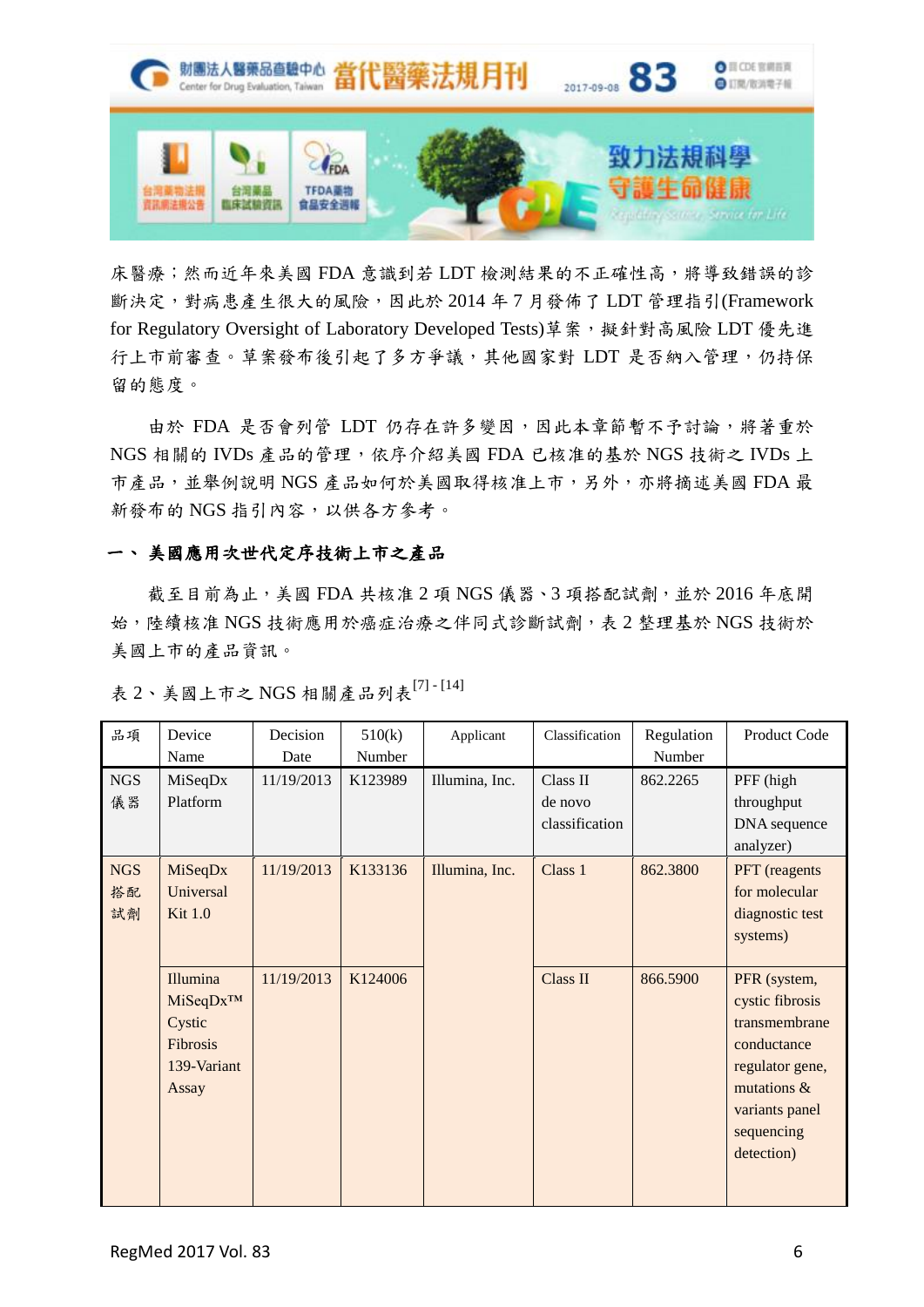

床醫療;然而近年來美國 FDA 意識到若 LDT 檢測結果的不正確性高,將導致錯誤的診 斷決定,對病患產生很大的風險,因此於 2014年7月發佈了 LDT 管理指引(Framework for Regulatory Oversight of Laboratory Developed Tests)草案, 擬針對高風險 LDT 優先進 行上市前審查。草案發布後引起了多方爭議,其他國家對 LDT 是否納入管理,仍持保 留的態度。

由於 FDA 是否會列管 LDT 仍存在許多變因,因此本章節暫不予討論,將著重於 NGS 相關的 IVDs 產品的管理,依序介紹美國 FDA 已核准的基於 NGS 技術之 IVDs 上 市產品,並舉例說明 NGS 產品如何於美國取得核准上市,另外,亦將摘述美國 FDA 最 新發布的 NGS 指引內容, 以供各方參考。

#### 一、 美國應用次世代定序技術上市之產品

截至目前為止, 美國 FDA 共核准 2 項 NGS 儀器、3 項搭配試劑, 並於 2016 年底開 始,陸續核准 NGS 技術應用於癌症治療之伴同式診斷試劑,表 2 整理基於 NGS 技術於 美國上市的產品資訊。

| 品項                     | Device<br>Name                                                     | Decision<br>Date | 510(k)<br>Number | Applicant      | Classification                        | Regulation<br>Number | Product Code                                                                                                                                       |
|------------------------|--------------------------------------------------------------------|------------------|------------------|----------------|---------------------------------------|----------------------|----------------------------------------------------------------------------------------------------------------------------------------------------|
| <b>NGS</b><br>儀器       | MiSeqDx<br>Platform                                                | 11/19/2013       | K123989          | Illumina, Inc. | Class II<br>de novo<br>classification | 862.2265             | PFF (high<br>throughput<br>DNA sequence<br>analyzer)                                                                                               |
| <b>NGS</b><br>搭配<br>試劑 | MiSeqDx<br>Universal<br><b>Kit 1.0</b>                             | 11/19/2013       | K133136          | Illumina, Inc. | Class 1                               | 862.3800             | PFT (reagents<br>for molecular<br>diagnostic test<br>systems)                                                                                      |
|                        | Illumina<br>MiSeqDx™<br>Cystic<br>Fibrosis<br>139-Variant<br>Assay | 11/19/2013       | K124006          |                | Class II                              | 866.5900             | PFR (system,<br>cystic fibrosis<br>transmembrane<br>conductance<br>regulator gene,<br>mutations $\&$<br>variants panel<br>sequencing<br>detection) |

表 2、美國上市之 NGS 相關產品列表[7] - [14]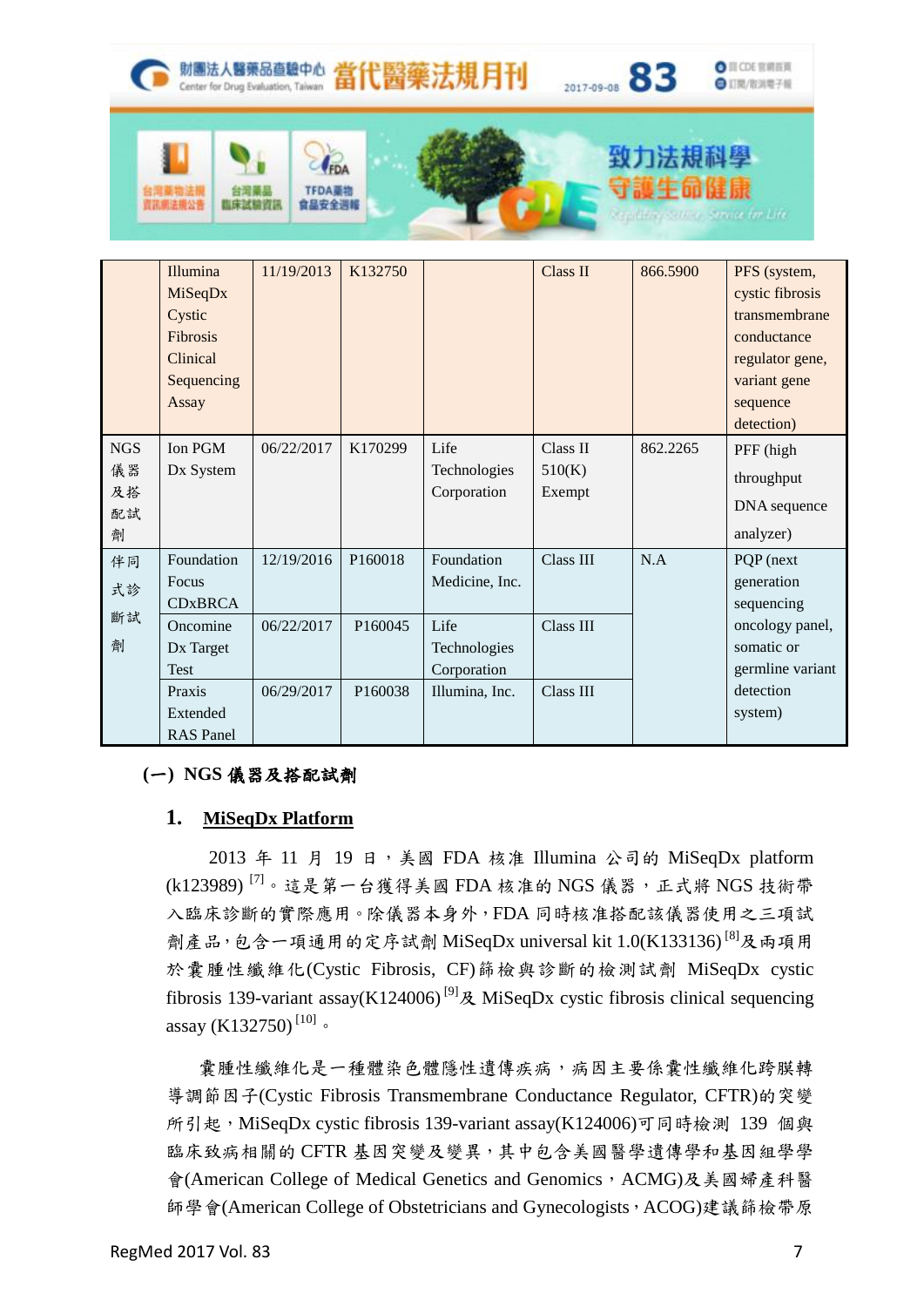

|            | <b>Illumina</b><br>MiSeqDx<br>Cystic<br><b>Fibrosis</b><br>Clinical<br>Sequencing<br>Assay | 11/19/2013 | K132750             |                | <b>Class II</b> | 866.5900 | PFS (system,<br>cystic fibrosis<br>transmembrane<br>conductance<br>regulator gene,<br>variant gene<br>sequence<br>detection) |
|------------|--------------------------------------------------------------------------------------------|------------|---------------------|----------------|-----------------|----------|------------------------------------------------------------------------------------------------------------------------------|
| <b>NGS</b> | Ion PGM                                                                                    | 06/22/2017 | K170299             | Life           | Class II        | 862.2265 | PFF (high                                                                                                                    |
| 儀器         | Dx System                                                                                  |            |                     | Technologies   | 510(K)          |          | throughput                                                                                                                   |
| 及搭         |                                                                                            |            |                     | Corporation    | Exempt          |          | DNA sequence                                                                                                                 |
| 配試<br>劑    |                                                                                            |            |                     |                |                 |          | analyzer)                                                                                                                    |
| 伴同         | Foundation                                                                                 | 12/19/2016 | P160018             | Foundation     | Class III       | N.A      | PQP (next                                                                                                                    |
|            | Focus                                                                                      |            |                     | Medicine, Inc. |                 |          | generation                                                                                                                   |
| 式診         | <b>CD<sub>x</sub>BRCA</b>                                                                  |            |                     |                |                 |          | sequencing                                                                                                                   |
| 斷試         | Oncomine                                                                                   | 06/22/2017 | P <sub>160045</sub> | Life           | Class III       |          | oncology panel,                                                                                                              |
| 劑          | Dx Target                                                                                  |            |                     | Technologies   |                 |          | somatic or                                                                                                                   |
|            | <b>Test</b>                                                                                |            |                     | Corporation    |                 |          | germline variant                                                                                                             |
|            | Praxis                                                                                     | 06/29/2017 | P160038             | Illumina, Inc. | Class III       |          | detection                                                                                                                    |
|            | Extended                                                                                   |            |                     |                |                 |          | system)                                                                                                                      |
|            | <b>RAS</b> Panel                                                                           |            |                     |                |                 |          |                                                                                                                              |

# **(**一**) NGS** 儀器及搭配試劑

## **1. MiSeqDx Platform**

 2013 年 11 月 19 日,美國 FDA 核准 Illumina 公司的 MiSeqDx platform (k123989) $^{[7]}$ 。這是第一台獲得美國 FDA 核准的 NGS 儀器,正式將 NGS 技術帶 入臨床診斷的實際應用。除儀器本身外,FDA 同時核准搭配該儀器使用之三項試 劑產品,包含一項通用的定序試劑 MiSeqDx universal kit 1.0(K133136) [8]及兩項用 於囊腫性纖維化(Cystic Fibrosis, CF)篩檢與診斷的檢測試劑 MiSeqDx cystic fibrosis 139-variant assay(K124006)<sup>[9]</sup>  $\&$  MiSeqDx cystic fibrosis clinical sequencing assay  $(K132750)^{[10]}$  .

囊腫性纖維化是一種體染色體隱性遺傳疾病,病因主要係囊性纖維化跨膜轉 導調節因子(Cystic Fibrosis Transmembrane Conductance Regulator, CFTR)的突變 所引起, MiSeqDx cystic fibrosis 139-variant assay(K124006)可同時檢測 139 個與 臨床致病相關的 CFTR 基因突變及變異,其中包含美國醫學遺傳學和基因組學學 會(American College of Medical Genetics and Genomics,ACMG)及美國婦產科醫 師學會(American College of Obstetricians and Gynecologists, ACOG)建議篩檢帶原

●目CDE官前百页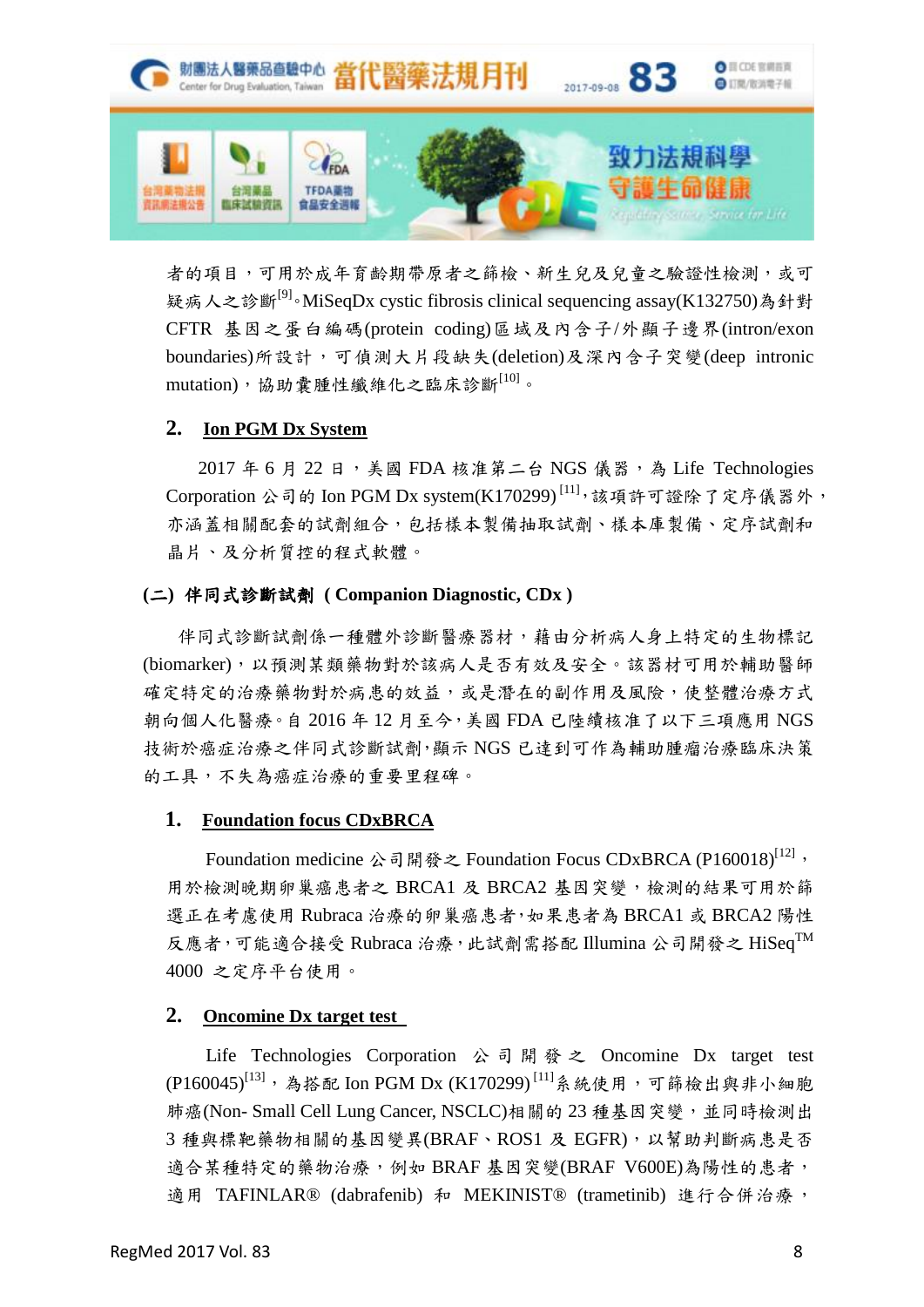

者的項目,可用於成年育齡期帶原者之篩檢、新生兒及兒童之驗證性檢測,或可 疑病人之診斷<sup>[9]</sup>。MiSeqDx cystic fibrosis clinical sequencing assay(K132750)為針對 CFTR 基因之蛋白編碼(protein coding)區域及內含子/外顯子邊界(intron/exon boundaries)所設計,可偵測大片段缺失(deletion)及深內含子突變(deep intronic mutation),協助囊腫性纖維化之臨床診斷[10]。

### **2. Ion PGM Dx System**

2017年 6月22日,美國 FDA 核准第二台 NGS 儀器,為 Life Technologies Corporation 公司的 Ion PGM Dx system(K170299)<sup>[11],</sup>該項許可證除了定序儀器外, 亦涵蓋相關配套的試劑組合,包括樣本製備抽取試劑、樣本庫製備、定序試劑和 晶片、及分析質控的程式軟體。

### **(**二**)** 伴同式診斷試劑 **( Companion Diagnostic, CDx )**

伴同式診斷試劑係一種體外診斷醫療器材,藉由分析病人身上特定的生物標記 (biomarker),以預測某類藥物對於該病人是否有效及安全。該器材可用於輔助醫師 確定特定的治療藥物對於病患的效益,或是潛在的副作用及風險,使整體治療方式 朝向個人化醫療。自 2016 年 12 月至今,美國 FDA 已陸續核准了以下三項應用 NGS 技術於癌症治療之伴同式診斷試劑,顯示 NGS 已達到可作為輔助腫瘤治療臨床決策 的工具,不失為癌症治療的重要里程碑。

### **1. Foundation focus CDxBRCA**

Foundation medicine 公司開發之 Foundation Focus CDxBRCA (P160018)<sup>[12],</sup> 用於檢測晚期卵巢癌患者之 BRCA1 及 BRCA2 基因突變,檢測的結果可用於篩 選正在考慮使用 Rubraca 治療的卵巢癌患者,如果患者為 BRCA1 或 BRCA2 陽性 反應者,可能適合接受 Rubraca 治療,此試劑需搭配 Illumina 公司開發之 HiSeq<sup>TM</sup> 4000 之定序平台使用。

### **2. Oncomine Dx target test**

 Life Technologies Corporation 公 司 開 發 之 Oncomine Dx target test (P160045)<sup>[13],</sup>為搭配 Ion PGM Dx (K170299)<sup>[11]</sup>系統使用,可篩檢出與非小細胞 肺癌(Non- Small Cell Lung Cancer, NSCLC)相關的 23 種基因突變,並同時檢測出 3 種與標靶藥物相關的基因變異(BRAF、ROS1及 EGFR),以幫助判斷病患是否 適合某種特定的藥物治療,例如 BRAF 基因突變(BRAF V600E)為陽性的患者, 適用 TAFINLAR® (dabrafenib) 和 MEKINIST® (trametinib) 進行合併治療,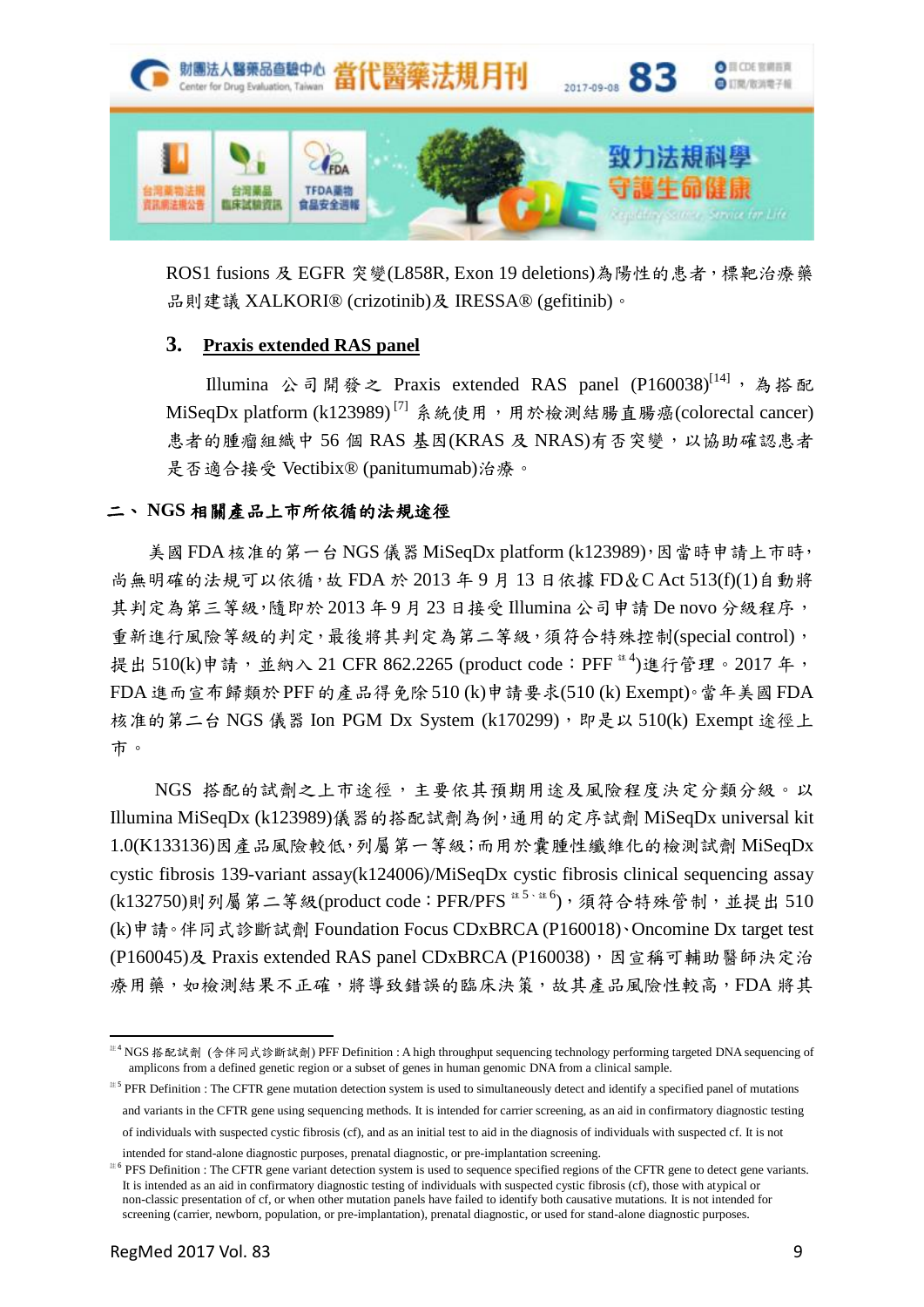

ROS1 fusions 及 EGFR 突變(L858R, Exon 19 deletions)為陽性的患者,標靶治療藥 品則建議 XALKORI® (crizotinib)及 IRESSA® (gefitinib)。

### **3. Praxis extended RAS panel**

Illumina 公司開發之 Praxis extended RAS panel (P160038)<sup>[14],</sup>為搭配 MiSeqDx platform (k123989)<sup>[7]</sup> 系統使用,用於檢測結腸直腸癌(colorectal cancer) 患者的腫瘤組織中 56個 RAS 基因(KRAS 及 NRAS)有否突變,以協助確認患者 是否適合接受 Vectibix® (panitumumab)治療。

#### 二、 **NGS** 相關產品上市所依循的法規途徑

美國FDA核准的第一台NGS儀器MiSeqDx platform (k123989),因當時申請上市時, 尚無明確的法規可以依循,故 FDA 於 2013 年 9 月 13 日依據 FD&C Act 513(f)(1)自動將 其判定為第三等級,隨即於 2013年9月23日接受 Illumina 公司申請 De novo 分級程序, 重新進行風險等級的判定,最後將其判定為第二等級,須符合特殊控制(special control), 提出 510(k)申請,並納入 21 CFR 862.2265 (product code:PFF  $^{\mathrm{it4}}$ )進行管理。2017年, FDA進而宣布歸類於PFF的產品得免除510 (k)申請要求(510 (k) Exempt)。當年美國FDA 核准的第二台 NGS 儀器 Ion PGM Dx System (k170299), 即是以 510(k) Exempt 途徑上 市。

 NGS 搭配的試劑之上市途徑,主要依其預期用途及風險程度決定分類分級。以 Illumina MiSeqDx (k123989)儀器的搭配試劑為例,通用的定序試劑 MiSeqDx universal kit 1.0(K133136)因產品風險較低,列屬第一等級;而用於囊腫性纖維化的檢測試劑 MiSeqDx cystic fibrosis 139-variant assay(k124006)/MiSeqDx cystic fibrosis clinical sequencing assay (k132750)則列屬第二等級(product code: PFR/PFS  $^{\text{\tiny{it5, it6}}})$ , 須符合特殊管制, 並提出 510 (k)申請。伴同式診斷試劑 Foundation Focus CDxBRCA (P160018)、Oncomine Dx target test (P160045)及 Praxis extended RAS panel CDxBRCA (P160038),因宣稱可輔助醫師決定治 療用藥,如檢測結果不正確,將導致錯誤的臨床決策,故其產品風險性較高,FDA 將其

 $\overline{a}$ 

<sup>&</sup>lt;sup>註4</sup> NGS 搭配試劑 (含伴同式診斷試劑) PFF Definition : A high throughput sequencing technology performing targeted DNA sequencing of amplicons from a defined genetic region or a subset of genes in human genomic DNA from a clinical sample.

<sup>&</sup>lt;sup>#5</sup> PFR Definition : The CFTR gene mutation detection system is used to simultaneously detect and identify a specified panel of mutations and variants in the CFTR gene using sequencing methods. It is intended for carrier screening, as an aid in confirmatory diagnostic testing of individuals with suspected cystic fibrosis (cf), and as an initial test to aid in the diagnosis of individuals with suspected cf. It is not

intended for stand-alone diagnostic purposes, prenatal diagnostic, or pre-implantation screening.

<sup>&</sup>lt;sup>#6</sup> PFS Definition : The CFTR gene variant detection system is used to sequence specified regions of the CFTR gene to detect gene variants. It is intended as an aid in confirmatory diagnostic testing of individuals with suspected cystic fibrosis (cf), those with atypical or non-classic presentation of cf, or when other mutation panels have failed to identify both causative mutations. It is not intended for screening (carrier, newborn, population, or pre-implantation), prenatal diagnostic, or used for stand-alone diagnostic purposes.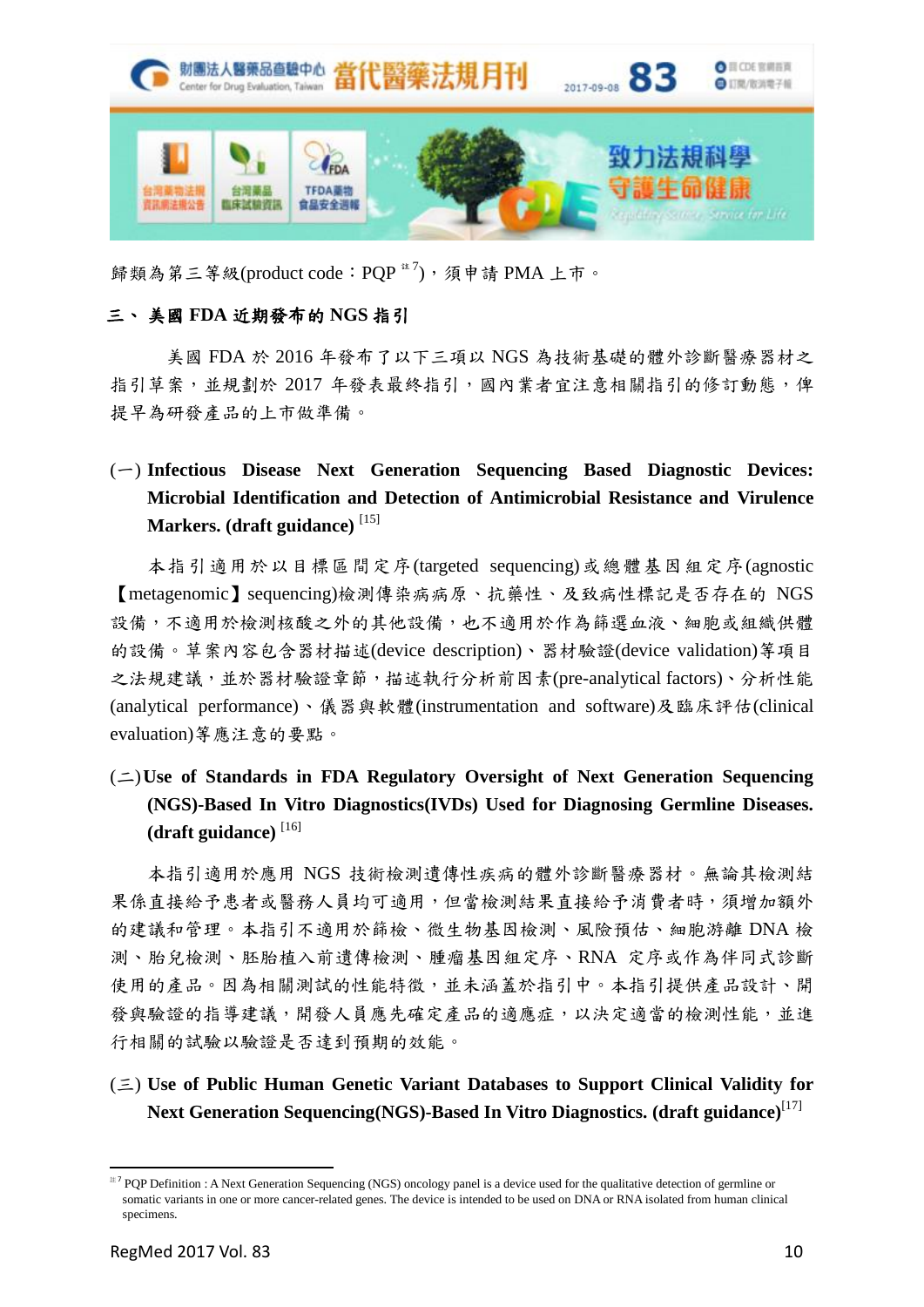

歸類為第三等級(product code: PQP  $^{\rm it}$ <sup>7</sup>), 須申請 PMA 上市。

### 三、 美國 **FDA** 近期發布的 **NGS** 指引

美國 FDA 於 2016 年發布了以下三項以 NGS 為技術基礎的體外診斷醫療器材之 指引草案,並規劃於 2017 年發表最終指引,國內業者宜注意相關指引的修訂動態,俾 提早為研發產品的上市做準備。

# (一) **Infectious Disease Next Generation Sequencing Based Diagnostic Devices: Microbial Identification and Detection of Antimicrobial Resistance and Virulence Markers. (draft guidance)** [15]

本指引適用於以目標區間定序(targeted sequencing)或總體基因組定序(agnostic 【metagenomic】sequencing)檢測傳染病病原、抗藥性、及致病性標記是否存在的 NGS 設備,不適用於檢測核酸之外的其他設備,也不適用於作為篩選血液、細胞或組織供體 的設備。草案內容包含器材描述(device description)、器材驗證(device validation)等項目 之法規建議,並於器材驗證章節,描述執行分析前因素(pre-analytical factors)、分析性能 (analytical performance)、儀器與軟體(instrumentation and software)及臨床評估(clinical evaluation)等應注意的要點。

# (二)**Use of Standards in FDA Regulatory Oversight of Next Generation Sequencing (NGS)-Based In Vitro Diagnostics(IVDs) Used for Diagnosing Germline Diseases. (draft guidance)** [16]

 本指引適用於應用 NGS 技術檢測遺傳性疾病的體外診斷醫療器材。無論其檢測結 果係直接給予患者或醫務人員均可適用,但當檢測結果直接給予消費者時,須增加額外 的建議和管理。本指引不適用於篩檢、微生物基因檢測、風險預估、細胞游離 DNA 檢 測、胎兒檢測、胚胎植入前遺傳檢測、腫瘤基因組定序、RNA 定序或作為伴同式診斷 使用的產品。因為相關測試的性能特徵,並未涵蓋於指引中。本指引提供產品設計、開 發與驗證的指導建議,開發人員應先確定產品的適應症,以決定適當的檢測性能,並進 行相關的試驗以驗證是否達到預期的效能。

(三) **Use of Public Human Genetic Variant Databases to Support Clinical Validity for Next Generation Sequencing(NGS)-Based In Vitro Diagnostics. (draft guidance)**[17]

 $\overline{a}$ 

<sup>&</sup>lt;sup>#7</sup> PQP Definition : A Next Generation Sequencing (NGS) oncology panel is a device used for the qualitative detection of germline or somatic variants in one or more cancer-related genes. The device is intended to be used on DNA or RNA isolated from human clinical specimens.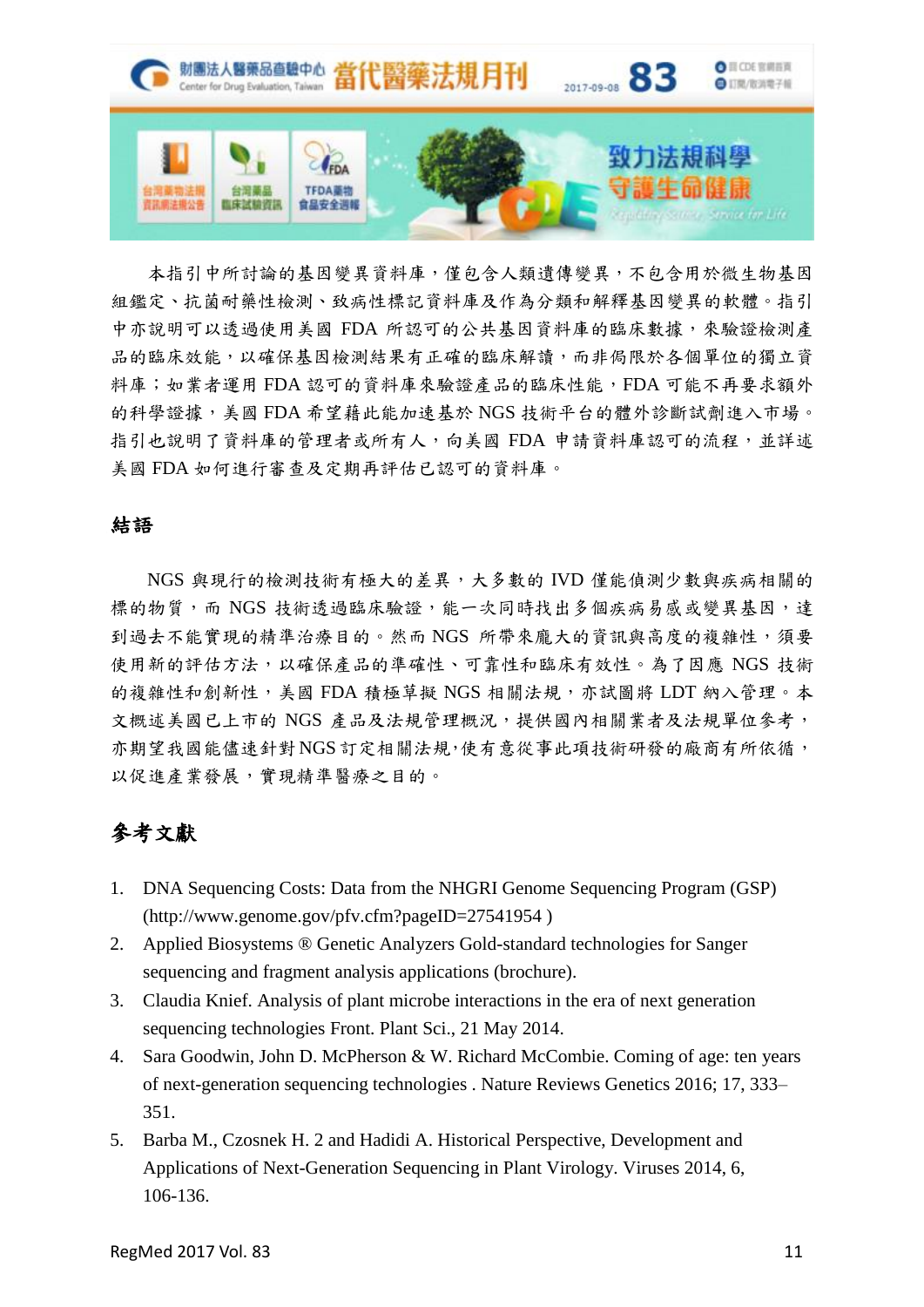

本指引中所討論的基因變異資料庫,僅包含人類遺傳變異,不包含用於微生物基因 組鑑定、抗菌耐藥性檢測、致病性標記資料庫及作為分類和解釋基因變異的軟體。指引 中亦說明可以透過使用美國 FDA 所認可的公共基因資料庫的臨床數據,來驗證檢測產 品的臨床效能,以確保基因檢測結果有正確的臨床解讀,而非侷限於各個單位的獨立資 料庫;如業者運用 FDA 認可的資料庫來驗證產品的臨床性能,FDA 可能不再要求額外 的科學證據,美國 FDA 希望藉此能加速基於 NGS 技術平台的體外診斷試劑進入市場。 指引也說明了資料庫的管理者或所有人,向美國 FDA 申請資料庫認可的流程,並詳述 美國 FDA 如何進行審查及定期再評估已認可的資料庫。

## 結語

NGS 與現行的檢測技術有極大的差異,大多數的 IVD 僅能偵測少數與疾病相關的 標的物質,而 NGS 技術透過臨床驗證,能一次同時找出多個疾病易感或變異基因,達 到過去不能實現的精準治療目的。然而 NGS 所帶來龐大的資訊與高度的複雜性,須要 使用新的評估方法,以確保產品的準確性、可靠性和臨床有效性。為了因應 NGS 技術 的複雜性和創新性,美國 FDA 積極草擬 NGS 相關法規,亦試圖將 LDT 納入管理。本 文概述美國已上市的 NGS 產品及法規管理概況,提供國內相關業者及法規單位參考, 亦期望我國能儘速針對NGS訂定相關法規,使有意從事此項技術研發的廠商有所依循, 以促進產業發展,實現精準醫療之目的。

# 參考文獻

- 1. DNA Sequencing Costs: Data from the NHGRI Genome Sequencing Program (GSP) (http://www.genome.gov/pfv.cfm?pageID=27541954 )
- 2. Applied Biosystems ® Genetic Analyzers Gold-standard technologies for Sanger sequencing and fragment analysis applications (brochure).
- 3. Claudia Knief. Analysis of plant microbe interactions in the era of next generation sequencing technologies Front. Plant Sci., 21 May 2014.
- 4. Sara Goodwin, John D. McPherson & W. Richard McCombie. Coming of age: ten years of next-generation sequencing technologies . Nature Reviews Genetics 2016; 17, 333– 351.
- 5. Barba M., Czosnek H. 2 and Hadidi A. Historical Perspective, Development and Applications of Next-Generation Sequencing in Plant Virology. Viruses 2014, 6, 106-136.